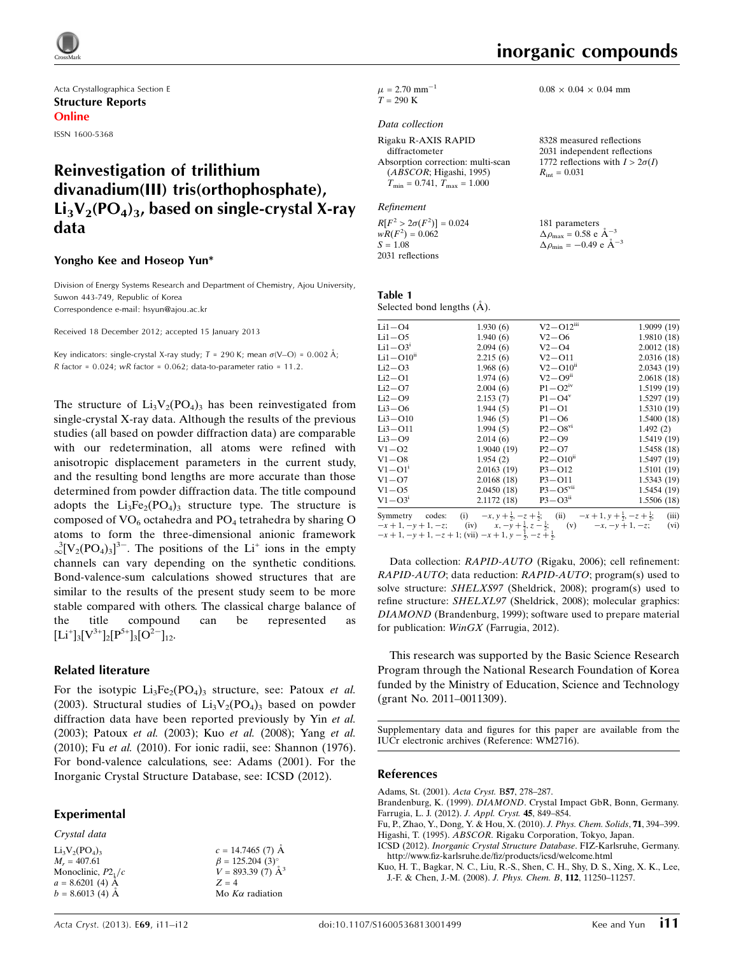

Acta Crystallographica Section E Structure Reports Online

ISSN 1600-5368

# Reinvestigation of trilithium divanadium(III) tris(orthophosphate),  $Li_3V_2(PO_4)_3$ , based on single-crystal X-ray data

#### Yongho Kee and Hoseop Yun\*

Division of Energy Systems Research and Department of Chemistry, Ajou University, Suwon 443-749, Republic of Korea Correspondence e-mail: [hsyun@ajou.ac.kr](https://scripts.iucr.org/cgi-bin/cr.cgi?rm=pdfbb&cnor=wm2716&bbid=BB13)

Received 18 December 2012; accepted 15 January 2013

Key indicators: single-crystal X-ray study;  $T = 290$  K; mean  $\sigma$ (V–O) = 0.002 Å;  $R$  factor = 0.024;  $wR$  factor = 0.062; data-to-parameter ratio = 11.2.

The structure of  $Li_3V_2(PO_4)$ <sub>3</sub> has been reinvestigated from single-crystal X-ray data. Although the results of the previous studies (all based on powder diffraction data) are comparable with our redetermination, all atoms were refined with anisotropic displacement parameters in the current study, and the resulting bond lengths are more accurate than those determined from powder diffraction data. The title compound adopts the  $Li<sub>3</sub>Fe<sub>2</sub>(PO<sub>4</sub>)<sub>3</sub>$  structure type. The structure is composed of  $VO_6$  octahedra and  $PO_4$  tetrahedra by sharing O atoms to form the three-dimensional anionic framework  $\sim \sqrt[3]{[V_2(PO_4)_3]^3}$ . The positions of the Li<sup>+</sup> ions in the empty channels can vary depending on the synthetic conditions. Bond-valence-sum calculations showed structures that are similar to the results of the present study seem to be more stable compared with others. The classical charge balance of the title compound can be represented as  $[Li^+]_3[V^{3+}]_2[P^{5+}]_3[O^{2-}]_{12}.$ 

#### Related literature

For the isotypic  $Li_3Fe_2(PO_4)_3$  structure, see: Patoux *et al.* (2003). Structural studies of  $Li_3V_2(PO_4)_3$  based on powder diffraction data have been reported previously by Yin et al. (2003); Patoux et al. (2003); Kuo et al. (2008); Yang et al. (2010); Fu et al. (2010). For ionic radii, see: Shannon (1976). For bond-valence calculations, see: Adams (2001). For the Inorganic Crystal Structure Database, see: ICSD (2012).

> $c = 14.7465(7)$  Å  $\beta = 125.204$  (3)<sup>o</sup>  $V = 893.39(7)$   $\AA^3$

 $Z = 4$ Mo  $K\alpha$  radiation

#### Experimental

Crystal data

 $Li<sub>3</sub>V<sub>2</sub>(PO<sub>4</sub>)<sub>3</sub>$  $M_r = 407.61$ Monoclinic,  $P2<sub>1</sub>/c$  $a = 8.6201(4)$  Å  $b = 8.6013$  (4) A

 $0.08 \times 0.04 \times 0.04$  mm

 $\mu$  = 2.70 mm<sup>-1</sup>  $T = 290 \text{ K}$ 

#### Data collection

| Rigaku R-AXIS RAPID                  | 8328 measured reflections     |
|--------------------------------------|-------------------------------|
| diffractometer                       | 2031 independent reflection   |
| Absorption correction: multi-scan    | 1772 reflections with $I > 2$ |
| (ABSCOR; Higashi, 1995)              | $R_{\rm int} = 0.031$         |
| $T_{\min} = 0.741, T_{\max} = 1.000$ |                               |

#### Refinement

 $R[F^2 > 2\sigma(F^2)] = 0.024$ <br>  $wR(F^2) = 0.062$  $S = 1.08$ 2031 reflections

31 independent reflections 1772 reflections with  $I > 2\sigma(I)$  $= 0.031$ 

181 parameters  $\Delta \rho_{\text{max}} = 0.58 \text{ e A}^{-3}$  $\Delta \rho_{\rm min} = -0.49 \text{ e A}^{-3}$ 

Table 1 Selected bond lengths  $(A)$ .

| Li1—O4                 | 1.930(6)                                                                       | $V2 - O12$ <sup>iii</sup> | 1.9099(19)                                                                                                             |
|------------------------|--------------------------------------------------------------------------------|---------------------------|------------------------------------------------------------------------------------------------------------------------|
| $Li1 - O5$             | 1.940(6)                                                                       | $V2 - O6$                 | 1.9810(18)                                                                                                             |
| $Li1 - O31$            | 2.094(6)                                                                       | $V2 - O4$                 | 2.0012(18)                                                                                                             |
| $Li1 - O10u$           | 2.215(6)                                                                       | $V2 - O11$                | 2.0316(18)                                                                                                             |
| $Li2-O3$               | 1.968(6)                                                                       | $V2 - O10^{ii}$           | 2.0343(19)                                                                                                             |
| Li2—O1                 | 1.974(6)                                                                       | $V2 - O9$ <sup>ii</sup>   | 2.0618(18)                                                                                                             |
| $Li2-O7$               | 2.004(6)                                                                       | $P1 - Q2$ <sup>iv</sup>   | 1.5199(19)                                                                                                             |
| $Li2-O9$               | 2.153(7)                                                                       | $P1 - Q4$ <sup>v</sup>    | 1.5297(19)                                                                                                             |
| $Li3-O6$               | 1.944(5)                                                                       | $P1 - O1$                 | 1.5310(19)                                                                                                             |
| $Li3 - O10$            | 1.946(5)                                                                       | $P1 - O6$                 | 1.5400(18)                                                                                                             |
| $Li3-O11$              | 1.994(5)                                                                       | $P2 - O8$ <sup>vi</sup>   | 1.492(2)                                                                                                               |
| $Li3-O9$               | 2.014(6)                                                                       | $P2 - O9$                 | 1.5419(19)                                                                                                             |
| $V1 - O2$              | 1.9040(19)                                                                     | $P2-O7$                   | 1.5458(18)                                                                                                             |
| $V1 - O8$              | 1.954(2)                                                                       | $P2 - O10u$               | 1.5497(19)                                                                                                             |
| $V1 - O11$             | 2.0163(19)                                                                     | $P3 - O12$                | 1.5101(19)                                                                                                             |
| $V1 - O7$              | 2.0168(18)                                                                     | $P3 - O11$                | 1.5343(19)                                                                                                             |
| $V1 - O5$              | 2.0450(18)                                                                     | $P3 - O5$ <sup>vii</sup>  | 1.5454(19)                                                                                                             |
| $V1 - O3$ <sup>i</sup> | 2.1172(18)                                                                     | $P3 - Q3$ <sup>ii</sup>   | 1.5506(18)                                                                                                             |
|                        |                                                                                |                           | Symmetry codes: (i) $-x, y + \frac{1}{2}, -z + \frac{1}{2}$ ; (ii) $-x + 1, y + \frac{1}{2}, -z + \frac{1}{2}$ ; (iii) |
|                        |                                                                                |                           | $-x+1, -y+1, -z;$ (iv) $x, -y+\frac{1}{2}, z-\frac{1}{2};$ (v) $-x, -y+1, -z;$ (vi)                                    |
|                        | $-x+1$ , $-y+1$ , $-z+1$ ; (vii) $-x+1$ , $y-\frac{1}{2}$ , $-z+\frac{1}{2}$ . |                           |                                                                                                                        |
|                        |                                                                                |                           |                                                                                                                        |

Data collection: RAPID-AUTO (Rigaku, 2006); cell refinement: RAPID-AUTO; data reduction: RAPID-AUTO; program(s) used to solve structure: SHELXS97 (Sheldrick, 2008); program(s) used to refine structure: SHELXL97 (Sheldrick, 2008); molecular graphics: DIAMOND (Brandenburg, 1999); software used to prepare material for publication: WinGX (Farrugia, 2012).

This research was supported by the Basic Science Research Program through the National Research Foundation of Korea funded by the Ministry of Education, Science and Technology (grant No. 2011–0011309).

Supplementary data and figures for this paper are available from the IUCr electronic archives (Reference: WM2716).

#### References

[Adams, St. \(2001\).](https://scripts.iucr.org/cgi-bin/cr.cgi?rm=pdfbb&cnor=wm2716&bbid=BB1) Acta Cryst. B57, 278–287.

Brandenburg, K. (1999). DIAMOND[. Crystal Impact GbR, Bonn, Germany.](https://scripts.iucr.org/cgi-bin/cr.cgi?rm=pdfbb&cnor=wm2716&bbid=BB2) [Farrugia, L. J. \(2012\).](https://scripts.iucr.org/cgi-bin/cr.cgi?rm=pdfbb&cnor=wm2716&bbid=BB3) J. Appl. Cryst. 45, 849–854.

[Fu, P., Zhao, Y., Dong, Y. & Hou, X. \(2010\).](https://scripts.iucr.org/cgi-bin/cr.cgi?rm=pdfbb&cnor=wm2716&bbid=BB4) J. Phys. Chem. Solids, 71, 394–399. Higashi, T. (1995). ABSCOR[. Rigaku Corporation, Tokyo, Japan.](https://scripts.iucr.org/cgi-bin/cr.cgi?rm=pdfbb&cnor=wm2716&bbid=BB5)

ICSD (2012). [Inorganic Crystal Structure Database](https://scripts.iucr.org/cgi-bin/cr.cgi?rm=pdfbb&cnor=wm2716&bbid=BB6). FIZ-Karlsruhe, Germany. [http://www.fiz-karlsruhe.de/fiz/products/icsd/welcome.html](https://scripts.iucr.org/cgi-bin/cr.cgi?rm=pdfbb&cnor=wm2716&bbid=BB6)

[Kuo, H. T., Bagkar, N. C., Liu, R.-S., Shen, C. H., Shy, D. S., Xing, X. K., Lee,](https://scripts.iucr.org/cgi-bin/cr.cgi?rm=pdfbb&cnor=wm2716&bbid=BB7) [J.-F. & Chen, J.-M. \(2008\).](https://scripts.iucr.org/cgi-bin/cr.cgi?rm=pdfbb&cnor=wm2716&bbid=BB7) J. Phys. Chem. B, 112, 11250–11257.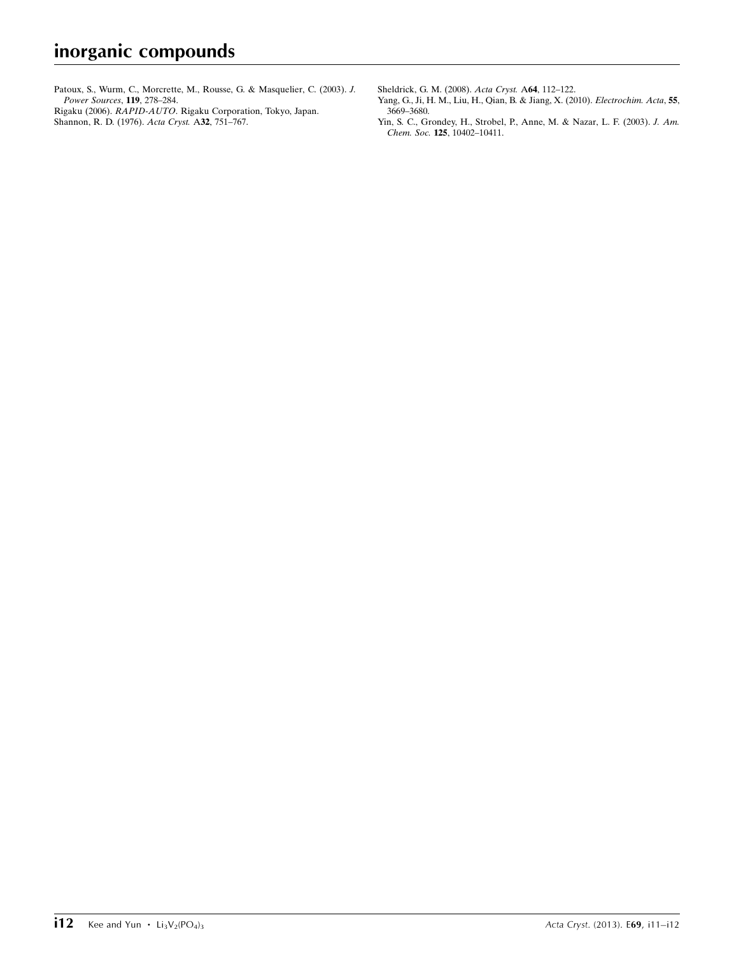[Patoux, S., Wurm, C., Morcrette, M., Rousse, G. & Masquelier, C. \(2003\).](https://scripts.iucr.org/cgi-bin/cr.cgi?rm=pdfbb&cnor=wm2716&bbid=BB8) J. [Power Sources](https://scripts.iucr.org/cgi-bin/cr.cgi?rm=pdfbb&cnor=wm2716&bbid=BB8), 119, 278–284.

Rigaku (2006). RAPID-AUTO[. Rigaku Corporation, Tokyo, Japan.](https://scripts.iucr.org/cgi-bin/cr.cgi?rm=pdfbb&cnor=wm2716&bbid=BB9) [Shannon, R. D. \(1976\).](https://scripts.iucr.org/cgi-bin/cr.cgi?rm=pdfbb&cnor=wm2716&bbid=BB10) Acta Cryst. A32, 751-767.

[Sheldrick, G. M. \(2008\).](https://scripts.iucr.org/cgi-bin/cr.cgi?rm=pdfbb&cnor=wm2716&bbid=BB11) Acta Cryst. A64, 112–122.

- [Yang, G., Ji, H. M., Liu, H., Qian, B. & Jiang, X. \(2010\).](https://scripts.iucr.org/cgi-bin/cr.cgi?rm=pdfbb&cnor=wm2716&bbid=BB12) Electrochim. Acta, 55, [3669–3680.](https://scripts.iucr.org/cgi-bin/cr.cgi?rm=pdfbb&cnor=wm2716&bbid=BB12)
- [Yin, S. C., Grondey, H., Strobel, P., Anne, M. & Nazar, L. F. \(2003\).](https://scripts.iucr.org/cgi-bin/cr.cgi?rm=pdfbb&cnor=wm2716&bbid=BB13) J. Am. Chem. Soc. 125[, 10402–10411.](https://scripts.iucr.org/cgi-bin/cr.cgi?rm=pdfbb&cnor=wm2716&bbid=BB13)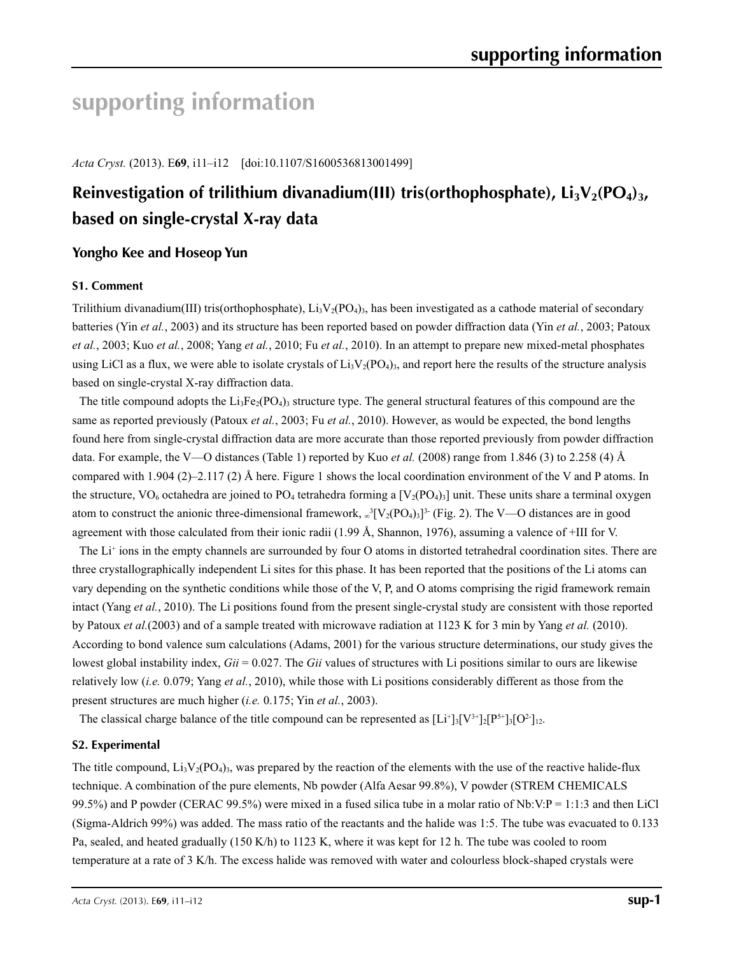# **supporting information**

*Acta Cryst.* (2013). E**69**, i11–i12 [doi:10.1107/S1600536813001499]

# Reinvestigation of trilithium divanadium(III) tris(orthophosphate), Li<sub>3</sub>V<sub>2</sub>(PO<sub>4</sub>)<sub>3</sub>, **based on single-crystal X-ray data**

# **Yongho Kee and Hoseop Yun**

# **S1. Comment**

Trilithium divanadium(III) tris(orthophosphate),  $Li_3V_2(PO_4)$ , has been investigated as a cathode material of secondary batteries (Yin *et al.*, 2003) and its structure has been reported based on powder diffraction data (Yin *et al.*, 2003; Patoux *et al.*, 2003; Kuo *et al.*, 2008; Yang *et al.*, 2010; Fu *et al.*, 2010). In an attempt to prepare new mixed-metal phosphates using LiCl as a flux, we were able to isolate crystals of  $Li<sub>3</sub>V<sub>2</sub>(PO<sub>4</sub>)<sub>3</sub>$ , and report here the results of the structure analysis based on single-crystal X-ray diffraction data.

The title compound adopts the  $Li_3Fe_2(PO_4)$ ; structure type. The general structural features of this compound are the same as reported previously (Patoux *et al.*, 2003; Fu *et al.*, 2010). However, as would be expected, the bond lengths found here from single-crystal diffraction data are more accurate than those reported previously from powder diffraction data. For example, the V—O distances (Table 1) reported by Kuo *et al.* (2008) range from 1.846 (3) to 2.258 (4) Å compared with 1.904 (2)–2.117 (2) Å here. Figure 1 shows the local coordination environment of the V and P atoms. In the structure,  $VO_6$  octahedra are joined to  $PO_4$  tetrahedra forming a  $[V_2(PO_4)_3]$  unit. These units share a terminal oxygen atom to construct the anionic three-dimensional framework,  $\omega^3 [V_2(PO_4)_3]^3$  (Fig. 2). The V—O distances are in good agreement with those calculated from their ionic radii (1.99 Å, Shannon, 1976), assuming a valence of  $+III$  for V.

The Li<sup>+</sup> ions in the empty channels are surrounded by four O atoms in distorted tetrahedral coordination sites. There are three crystallographically independent Li sites for this phase. It has been reported that the positions of the Li atoms can vary depending on the synthetic conditions while those of the V, P, and O atoms comprising the rigid framework remain intact (Yang *et al.*, 2010). The Li positions found from the present single-crystal study are consistent with those reported by Patoux *et al.*(2003) and of a sample treated with microwave radiation at 1123 K for 3 min by Yang *et al.* (2010). According to bond valence sum calculations (Adams, 2001) for the various structure determinations, our study gives the lowest global instability index, *Gii* = 0.027. The *Gii* values of structures with Li positions similar to ours are likewise relatively low (*i.e.* 0.079; Yang *et al.*, 2010), while those with Li positions considerably different as those from the present structures are much higher (*i.e.* 0.175; Yin *et al.*, 2003).

The classical charge balance of the title compound can be represented as  $[Li^+]_3[V^{3+}]_2[P^{5+}]_3[O^2]_{12}$ .

#### **S2. Experimental**

The title compound,  $Li_3V_2(PO_4)_3$ , was prepared by the reaction of the elements with the use of the reactive halide-flux technique. A combination of the pure elements, Nb powder (Alfa Aesar 99.8%), V powder (STREM CHEMICALS 99.5%) and P powder (CERAC 99.5%) were mixed in a fused silica tube in a molar ratio of Nb:V:P = 1:1:3 and then LiCl (Sigma-Aldrich 99%) was added. The mass ratio of the reactants and the halide was 1:5. The tube was evacuated to 0.133 Pa, sealed, and heated gradually (150 K/h) to 1123 K, where it was kept for 12 h. The tube was cooled to room temperature at a rate of 3 K/h. The excess halide was removed with water and colourless block-shaped crystals were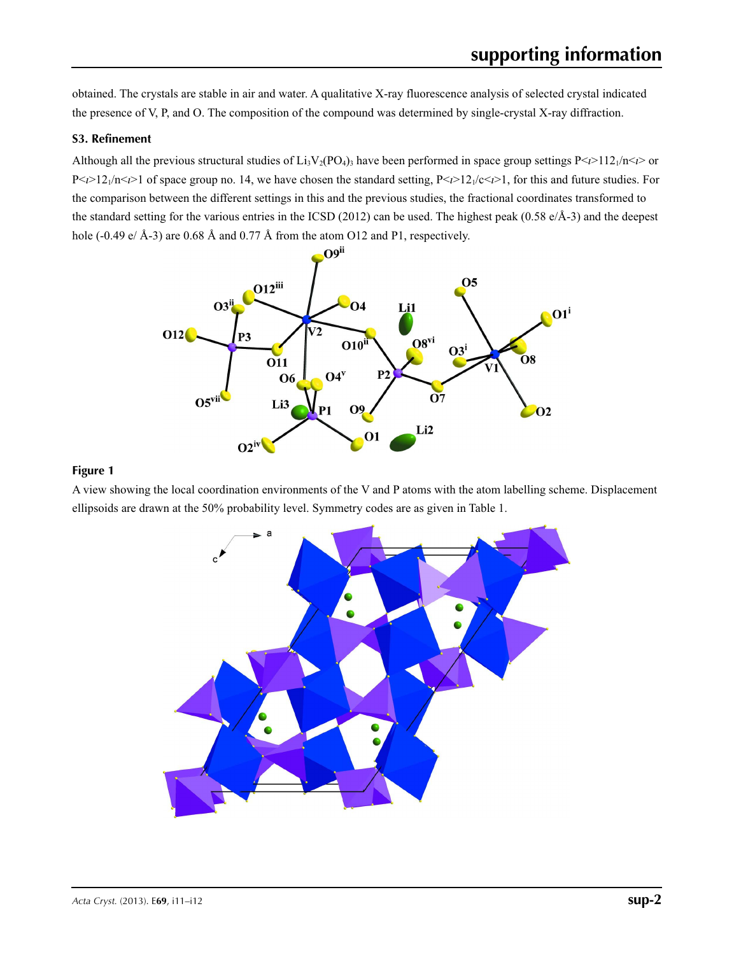obtained. The crystals are stable in air and water. A qualitative X-ray fluorescence analysis of selected crystal indicated the presence of V, P, and O. The composition of the compound was determined by single-crystal X-ray diffraction.

## **S3. Refinement**

Although all the previous structural studies of  $Li_3V_2(PO_4)$ , have been performed in space group settings  $P \le l > 112 \cdot l \le n$  $P \le \frac{\sum_{i=1}^{n} (n_i - 1)}{n_i}$  of space group no. 14, we have chosen the standard setting,  $P \le \frac{\sum_{i=1}^{n} (n_i - 1)}{n_i}$  for this and future studies. For the comparison between the different settings in this and the previous studies, the fractional coordinates transformed to the standard setting for the various entries in the ICSD (2012) can be used. The highest peak (0.58 e/Å-3) and the deepest hole (-0.49 e/ Å-3) are 0.68 Å and 0.77 Å from the atom O12 and P1, respectively.



#### **Figure 1**

A view showing the local coordination environments of the V and P atoms with the atom labelling scheme. Displacement ellipsoids are drawn at the 50% probability level. Symmetry codes are as given in Table 1.

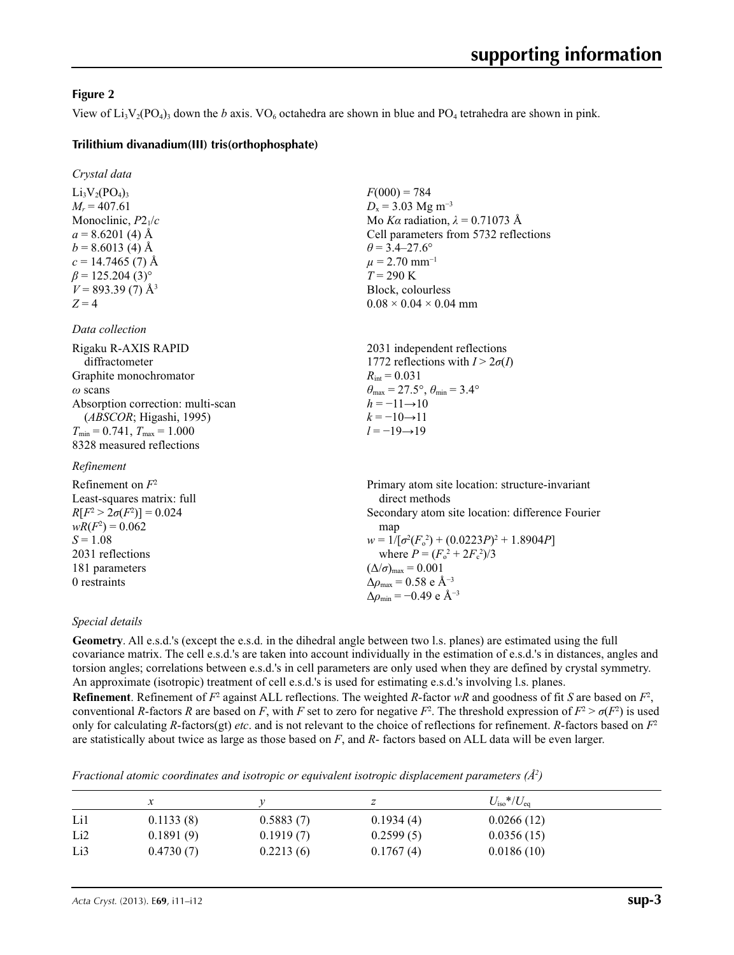# **Figure 2**

View of  $Li_3V_2(PO_4)$ <sub>3</sub> down the *b* axis. VO<sub>6</sub> octahedra are shown in blue and PO<sub>4</sub> tetrahedra are shown in pink.

 $F(000) = 784$  $D<sub>x</sub>$  = 3.03 Mg m<sup>-3</sup>

 $\theta$  = 3.4–27.6°  $\mu$  = 2.70 mm<sup>-1</sup>  $T = 290 \text{ K}$ Block, colourless  $0.08 \times 0.04 \times 0.04$  mm

 $R_{\text{int}} = 0.031$ 

 $h = -11 \rightarrow 10$  $k = -10 \rightarrow 11$ *l* = −19→19

Mo *Kα* radiation,  $\lambda = 0.71073$  Å Cell parameters from 5732 reflections

2031 independent reflections 1772 reflections with  $I > 2\sigma(I)$ 

 $\theta_{\text{max}} = 27.5^{\circ}, \theta_{\text{min}} = 3.4^{\circ}$ 

## **Trilithium divanadium(III) tris(orthophosphate)**

| Crystal data                       |
|------------------------------------|
| $Li_3V_2(PO_4)_3$                  |
| $M_r = 407.61$                     |
| Monoclinic, $P2_1/c$               |
| $a = 8.6201(4)$ Å                  |
| $b = 8.6013(4)$ Å                  |
| $c = 14.7465(7)$ Å                 |
| $\beta$ = 125.204 (3) <sup>o</sup> |
| $V = 893.39(7)$ Å <sup>3</sup>     |
| $Z = 4$                            |

#### *Data collection*

| Rigaku R-AXIS RAPID                     |
|-----------------------------------------|
| diffractometer                          |
| Graphite monochromator                  |
| $\omega$ scans                          |
| Absorption correction: multi-scan       |
| (ABSCOR; Higashi, 1995)                 |
| $T_{\min} = 0.741$ , $T_{\max} = 1.000$ |
| 8328 measured reflections               |

#### *Refinement*

| Refinement on $F^2$             | Primary atom site location: structure-invariant    |
|---------------------------------|----------------------------------------------------|
| Least-squares matrix: full      | direct methods                                     |
| $R[F^2 > 2\sigma(F^2)] = 0.024$ | Secondary atom site location: difference Fourier   |
| $wR(F^2) = 0.062$               | map                                                |
| $S = 1.08$                      | $w = 1/[\sigma^2(F_0^2) + (0.0223P)^2 + 1.8904P]$  |
| 2031 reflections                | where $P = (F_o^2 + 2F_e^2)/3$                     |
| 181 parameters                  | $(\Delta/\sigma)_{\text{max}} = 0.001$             |
| 0 restraints                    | $\Delta \rho_{\text{max}} = 0.58 \text{ e A}^{-3}$ |
|                                 | $\Delta \rho_{\rm min} = -0.49$ e Å <sup>-3</sup>  |

#### *Special details*

**Geometry**. All e.s.d.'s (except the e.s.d. in the dihedral angle between two l.s. planes) are estimated using the full covariance matrix. The cell e.s.d.'s are taken into account individually in the estimation of e.s.d.'s in distances, angles and torsion angles; correlations between e.s.d.'s in cell parameters are only used when they are defined by crystal symmetry. An approximate (isotropic) treatment of cell e.s.d.'s is used for estimating e.s.d.'s involving l.s. planes.

**Refinement**. Refinement of  $F^2$  against ALL reflections. The weighted *R*-factor  $wR$  and goodness of fit *S* are based on  $F^2$ , conventional *R*-factors *R* are based on *F*, with *F* set to zero for negative  $F^2$ . The threshold expression of  $F^2 > \sigma(F^2)$  is used only for calculating *R*-factors(gt) *etc*. and is not relevant to the choice of reflections for refinement. *R*-factors based on *F*<sup>2</sup> are statistically about twice as large as those based on *F*, and *R*- factors based on ALL data will be even larger.

*Fractional atomic coordinates and isotropic or equivalent isotropic displacement parameters (Å<sup>2</sup>)* 

|                 |           |           | z         | $U_{\rm iso}*/U_{\rm eq}$ |  |
|-----------------|-----------|-----------|-----------|---------------------------|--|
| Li1             | 0.1133(8) | 0.5883(7) | 0.1934(4) | 0.0266(12)                |  |
| Li <sub>2</sub> | 0.1891(9) | 0.1919(7) | 0.2599(5) | 0.0356(15)                |  |
| Li3             | 0.4730(7) | 0.2213(6) | 0.1767(4) | 0.0186(10)                |  |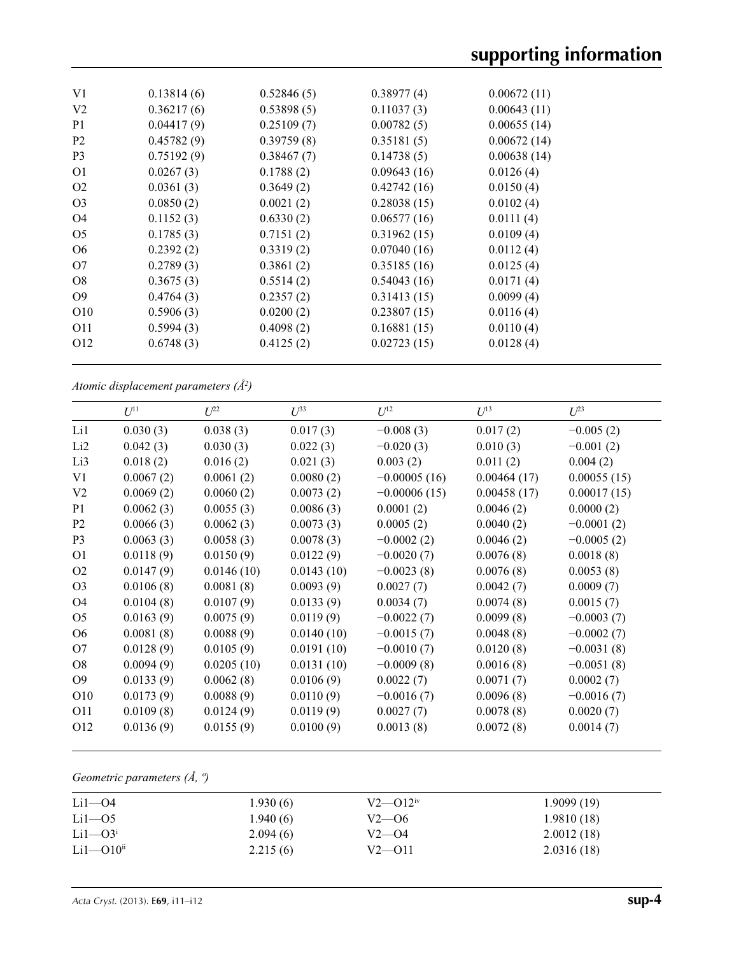| V <sub>1</sub>  | 0.13814(6) | 0.52846(5) | 0.38977(4)  | 0.00672(11) |
|-----------------|------------|------------|-------------|-------------|
| V <sub>2</sub>  | 0.36217(6) | 0.53898(5) | 0.11037(3)  | 0.00643(11) |
| P <sub>1</sub>  | 0.04417(9) | 0.25109(7) | 0.00782(5)  | 0.00655(14) |
| <b>P2</b>       | 0.45782(9) | 0.39759(8) | 0.35181(5)  | 0.00672(14) |
| <b>P</b> 3      | 0.75192(9) | 0.38467(7) | 0.14738(5)  | 0.00638(14) |
| O <sub>1</sub>  | 0.0267(3)  | 0.1788(2)  | 0.09643(16) | 0.0126(4)   |
| O <sub>2</sub>  | 0.0361(3)  | 0.3649(2)  | 0.42742(16) | 0.0150(4)   |
| O <sub>3</sub>  | 0.0850(2)  | 0.0021(2)  | 0.28038(15) | 0.0102(4)   |
| O <sub>4</sub>  | 0.1152(3)  | 0.6330(2)  | 0.06577(16) | 0.0111(4)   |
| O <sub>5</sub>  | 0.1785(3)  | 0.7151(2)  | 0.31962(15) | 0.0109(4)   |
| O <sub>6</sub>  | 0.2392(2)  | 0.3319(2)  | 0.07040(16) | 0.0112(4)   |
| O7              | 0.2789(3)  | 0.3861(2)  | 0.35185(16) | 0.0125(4)   |
| O <sub>8</sub>  | 0.3675(3)  | 0.5514(2)  | 0.54043(16) | 0.0171(4)   |
| O <sub>9</sub>  | 0.4764(3)  | 0.2357(2)  | 0.31413(15) | 0.0099(4)   |
| O <sub>10</sub> | 0.5906(3)  | 0.0200(2)  | 0.23807(15) | 0.0116(4)   |
| O11             | 0.5994(3)  | 0.4098(2)  | 0.16881(15) | 0.0110(4)   |
| O <sub>12</sub> | 0.6748(3)  | 0.4125(2)  | 0.02723(15) | 0.0128(4)   |
|                 |            |            |             |             |

*Atomic displacement parameters (Å2 )*

|                 | $U^{11}$  | $L^{22}$   | $\mathcal{L}^{\beta 3}$ | $U^{12}$       | $U^{13}$    | $U^{23}$     |
|-----------------|-----------|------------|-------------------------|----------------|-------------|--------------|
| Li1             | 0.030(3)  | 0.038(3)   | 0.017(3)                | $-0.008(3)$    | 0.017(2)    | $-0.005(2)$  |
| Li <sub>2</sub> | 0.042(3)  | 0.030(3)   | 0.022(3)                | $-0.020(3)$    | 0.010(3)    | $-0.001(2)$  |
| Li3             | 0.018(2)  | 0.016(2)   | 0.021(3)                | 0.003(2)       | 0.011(2)    | 0.004(2)     |
| V1              | 0.0067(2) | 0.0061(2)  | 0.0080(2)               | $-0.00005(16)$ | 0.00464(17) | 0.00055(15)  |
| V <sub>2</sub>  | 0.0069(2) | 0.0060(2)  | 0.0073(2)               | $-0.00006(15)$ | 0.00458(17) | 0.00017(15)  |
| P <sub>1</sub>  | 0.0062(3) | 0.0055(3)  | 0.0086(3)               | 0.0001(2)      | 0.0046(2)   | 0.0000(2)    |
| P <sub>2</sub>  | 0.0066(3) | 0.0062(3)  | 0.0073(3)               | 0.0005(2)      | 0.0040(2)   | $-0.0001(2)$ |
| P <sub>3</sub>  | 0.0063(3) | 0.0058(3)  | 0.0078(3)               | $-0.0002(2)$   | 0.0046(2)   | $-0.0005(2)$ |
| O <sub>1</sub>  | 0.0118(9) | 0.0150(9)  | 0.0122(9)               | $-0.0020(7)$   | 0.0076(8)   | 0.0018(8)    |
| O <sub>2</sub>  | 0.0147(9) | 0.0146(10) | 0.0143(10)              | $-0.0023(8)$   | 0.0076(8)   | 0.0053(8)    |
| O <sub>3</sub>  | 0.0106(8) | 0.0081(8)  | 0.0093(9)               | 0.0027(7)      | 0.0042(7)   | 0.0009(7)    |
| O4              | 0.0104(8) | 0.0107(9)  | 0.0133(9)               | 0.0034(7)      | 0.0074(8)   | 0.0015(7)    |
| O <sub>5</sub>  | 0.0163(9) | 0.0075(9)  | 0.0119(9)               | $-0.0022(7)$   | 0.0099(8)   | $-0.0003(7)$ |
| O <sub>6</sub>  | 0.0081(8) | 0.0088(9)  | 0.0140(10)              | $-0.0015(7)$   | 0.0048(8)   | $-0.0002(7)$ |
| O7              | 0.0128(9) | 0.0105(9)  | 0.0191(10)              | $-0.0010(7)$   | 0.0120(8)   | $-0.0031(8)$ |
| O <sub>8</sub>  | 0.0094(9) | 0.0205(10) | 0.0131(10)              | $-0.0009(8)$   | 0.0016(8)   | $-0.0051(8)$ |
| O <sub>9</sub>  | 0.0133(9) | 0.0062(8)  | 0.0106(9)               | 0.0022(7)      | 0.0071(7)   | 0.0002(7)    |
| O10             | 0.0173(9) | 0.0088(9)  | 0.0110(9)               | $-0.0016(7)$   | 0.0096(8)   | $-0.0016(7)$ |
| O11             | 0.0109(8) | 0.0124(9)  | 0.0119(9)               | 0.0027(7)      | 0.0078(8)   | 0.0020(7)    |
| O <sub>12</sub> | 0.0136(9) | 0.0155(9)  | 0.0100(9)               | 0.0013(8)      | 0.0072(8)   | 0.0014(7)    |

# *Geometric parameters (Å, º)*

| $Li1 - O4$                | 1.930(6) | $V2 - Q12$ <sup>iv</sup> | 1.9099(19) |
|---------------------------|----------|--------------------------|------------|
| $Li1-05$                  | 1.940(6) | $V2 - 06$                | 1.9810(18) |
| $Li1 - O3i$               | 2.094(6) | $V2 - 04$                | 2.0012(18) |
| $Li1 - O10$ <sup>ii</sup> | 2.215(6) | $V2 - 011$               | 2.0316(18) |
|                           |          |                          |            |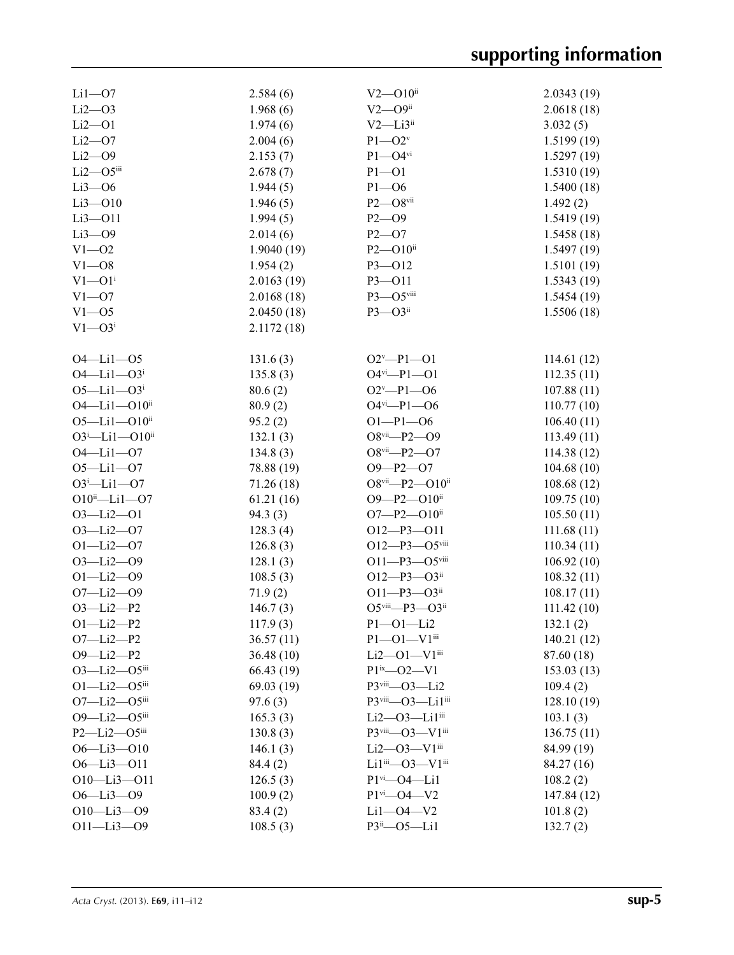| $Li1 - O7$                   | 2.584(6)   | $V2 - 010$ <sup>ii</sup>           | 2.0343(19)  |
|------------------------------|------------|------------------------------------|-------------|
| $Li2 - O3$                   | 1.968(6)   | $V2 - O9$ ii                       | 2.0618(18)  |
| $Li2 - O1$                   | 1.974(6)   | $V2$ —Li $3$ <sup>ii</sup>         | 3.032(5)    |
| $Li2$ -O7                    | 2.004(6)   | $P1 - O2v$                         | 1.5199(19)  |
| $Li2 - O9$                   | 2.153(7)   | $P1 - O4$ <sup>vi</sup>            | 1.5297(19)  |
| $Li2 - O5$ iii               | 2.678(7)   | $P1 - O1$                          | 1.5310(19)  |
| $Li3 - O6$                   | 1.944(5)   | $P1 - O6$                          | 1.5400(18)  |
| $Li3 - O10$                  | 1.946(5)   | $P2 - O8$ vii                      | 1.492(2)    |
| $Li3 - O11$                  | 1.994(5)   | $P2 - O9$                          | 1.5419(19)  |
| $Li3-09$                     | 2.014(6)   | $P2 - O7$                          | 1.5458(18)  |
| $V1 - 02$                    | 1.9040(19) | $P2 - O10$ ii                      | 1.5497(19)  |
| $V1 - 08$                    | 1.954(2)   | $P3 - 012$                         | 1.5101(19)  |
| $V1 - 01$ <sup>i</sup>       | 2.0163(19) | P3-011                             | 1.5343(19)  |
| $V1 - 07$                    | 2.0168(18) | P3-O5viii                          | 1.5454(19)  |
| $V1 - 05$                    | 2.0450(18) | $P3 - O3$ <sup>ii</sup>            | 1.5506(18)  |
| $V1 - O3$                    | 2.1172(18) |                                    |             |
|                              |            |                                    |             |
| $O4 - Li1 - O5$              |            | $O2^v - P1 - O1$                   |             |
| $O4 - Li1 - O3$ <sup>i</sup> | 131.6(3)   | $O4$ <sup>vi</sup> -P1- $O1$       | 114.61(12)  |
|                              | 135.8(3)   |                                    | 112.35(11)  |
| $O5 - Li1 - O3$ <sup>i</sup> | 80.6(2)    | $O2^v$ -P1--06                     | 107.88(11)  |
| 04-Li1-010ii                 | 80.9(2)    | $O4$ <sup>vi</sup> -P1- $O6$       | 110.77(10)  |
| $O5 - Li1 - O10$ ii          | 95.2(2)    | $O1-P1-O6$                         | 106.40(11)  |
| $O3^i$ -Li1- $O10^{ii}$      | 132.1(3)   | $O8$ <sup>vii</sup> -P2- $O9$      | 113.49(11)  |
| $O4 - Li1 - O7$              | 134.8(3)   | $O8$ <sup>vii</sup> -P2- $O7$      | 114.38 (12) |
| $O5 - Li1 - O7$              | 78.88 (19) | $O9 - P2 - O7$                     | 104.68(10)  |
| $O3^i$ -Lil- $O7$            | 71.26 (18) | O8vii-P2-O10ii                     | 108.68(12)  |
| $O10^{ii}$ -Li1- $O7$        | 61.21(16)  | O9-P2-O10ii                        | 109.75(10)  |
| $O3 - Li2 - O1$              | 94.3(3)    | $O7 - P2 - O10$ <sup>ii</sup>      | 105.50(11)  |
| $O3 - Li2 - O7$              | 128.3(4)   | $O12-P3-O11$                       | 111.68(11)  |
| $O1 - Li2 - O7$              | 126.8(3)   | $O12 - P3 - O5$ viii               | 110.34(11)  |
| $O3 - Li2 - O9$              | 128.1(3)   | $O11 - P3 - O5$ viii               | 106.92(10)  |
| $O1 - Li2 - O9$              | 108.5(3)   | $O12 - P3 - O3$ ii                 | 108.32(11)  |
| $O7 - Li2 - O9$              | 71.9(2)    | $O11 - P3 - O3$ ii                 | 108.17(11)  |
| $O3 - Li2 - P2$              | 146.7(3)   | O5viii-P3-O3ii                     | 111.42 (10) |
| $O1 - Li2 - P2$              | 117.9(3)   | $P1 - O1 - Li2$                    | 132.1(2)    |
| $O7 - Li2 - P2$              | 36.57(11)  | $P1 - O1 - V1$ <sup>iii</sup>      | 140.21(12)  |
| $O9 - Li2 - P2$              | 36.48 (10) | $Li2 - O1 - V1$ <sup>iii</sup>     | 87.60 (18)  |
| $O3 - Li2 - O5$ iii          | 66.43(19)  | $P1^{ix} - 02 - V1$                | 153.03(13)  |
| $O1 - Li2 - O5$ iii          | 69.03(19)  | P3viii-O3-Li2                      | 109.4(2)    |
| $O7 - Li2 - O5$ iii          | 97.6(3)    | P3viii-O3-Li1iii                   | 128.10(19)  |
| 09-Li2-05iii                 | 165.3(3)   | Li2-03-Li1iii                      | 103.1(3)    |
| $P2 - Li2 - O5$              | 130.8(3)   | P3viii-03-V1iii                    | 136.75(11)  |
| O6-Li3-O10                   | 146.1(3)   | $Li2$ — $O3$ — $V1$ <sup>iii</sup> | 84.99 (19)  |
| 06-Li3-011                   | 84.4 (2)   | Li $1^{iii}$ -O3-V $1^{iii}$       | 84.27 (16)  |
| $O10 - Li3 - O11$            | 126.5(3)   | $P1$ <sup>vi</sup> - $O4$ - Li1    | 108.2(2)    |
| $O6 - Li3 - O9$              | 100.9(2)   | $P1$ <sup>vi</sup> - $O4$ - $V2$   | 147.84 (12) |
| $O10 - Li3 - O9$             | 83.4(2)    | $Li1 - O4 - V2$                    | 101.8(2)    |
| $O11 - Li3 - O9$             | 108.5(3)   | $P3ii$ - $O5$ - Lil                | 132.7(2)    |